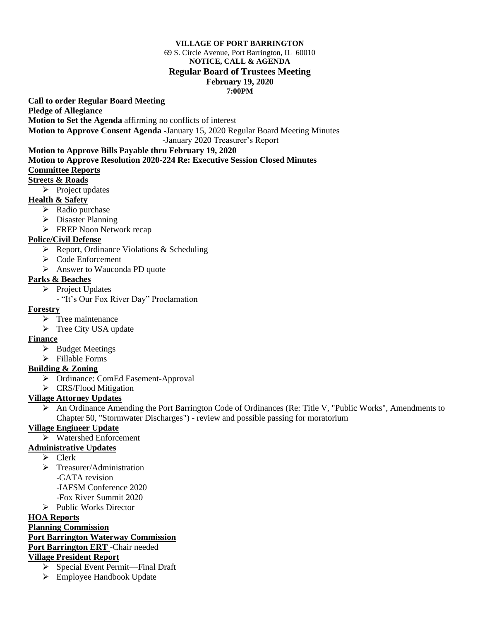#### **VILLAGE OF PORT BARRINGTON**

#### 69 S. Circle Avenue, Port Barrington, IL 60010 **NOTICE, CALL & AGENDA Regular Board of Trustees Meeting February 19, 2020 7:00PM**

**Call to order Regular Board Meeting** 

**Pledge of Allegiance**

**Motion to Set the Agenda** affirming no conflicts of interest

**Motion to Approve Consent Agenda -**January 15, 2020 Regular Board Meeting Minutes

-January 2020 Treasurer's Report

# **Motion to Approve Bills Payable thru February 19, 2020**

**Motion to Approve Resolution 2020-224 Re: Executive Session Closed Minutes Committee Reports**

#### **Streets & Roads**

➢ Project updates

# **Health & Safety**

- ➢ Radio purchase
- ➢ Disaster Planning
- ➢ FREP Noon Network recap

# **Police/Civil Defense**

- ➢ Report, Ordinance Violations & Scheduling
- ➢ Code Enforcement
- ➢ Answer to Wauconda PD quote

#### **Parks & Beaches**

- ➢ Project Updates
	- "It's Our Fox River Day" Proclamation

#### **Forestry**

- ➢ Tree maintenance
- ➢ Tree City USA update

# **Finance**

- ➢ Budget Meetings
- ➢ Fillable Forms

# **Building & Zoning**

- ➢ Ordinance: ComEd Easement-Approval
- ➢ CRS/Flood Mitigation

# **Village Attorney Updates**

➢ An Ordinance Amending the Port Barrington Code of Ordinances (Re: Title V, "Public Works", Amendments to Chapter 50, "Stormwater Discharges") - review and possible passing for moratorium

# **Village Engineer Update**

➢ Watershed Enforcement

# **Administrative Updates**

- ➢ Clerk
- ➢ Treasurer/Administration -GATA revision -IAFSM Conference 2020 -Fox River Summit 2020
- ➢ Public Works Director
- 

# **HOA Reports**

#### **Planning Commission Port Barrington Waterway Commission**

**Port Barrington ERT** -Chair needed

# **Village President Report**

- ➢ Special Event Permit—Final Draft
- ➢ Employee Handbook Update